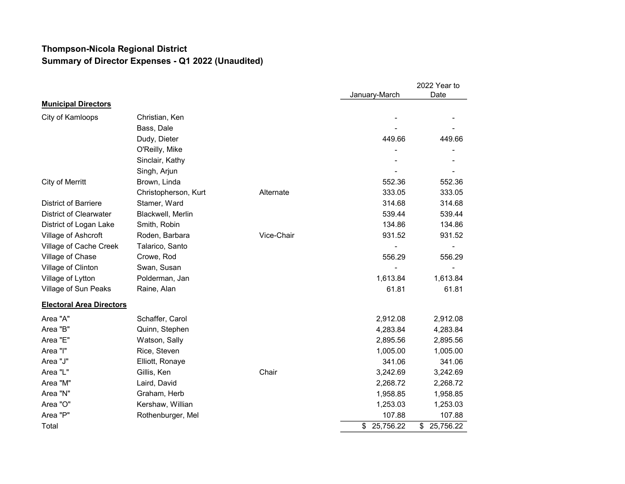## Thompson-Nicola Regional District Summary of Director Expenses - Q1 2022 (Unaudited)

|                                 |                      |            |                 | 2022 Year to    |
|---------------------------------|----------------------|------------|-----------------|-----------------|
|                                 |                      |            | January-March   | Date            |
| <b>Municipal Directors</b>      |                      |            |                 |                 |
| City of Kamloops                | Christian, Ken       |            |                 |                 |
|                                 | Bass, Dale           |            |                 |                 |
|                                 | Dudy, Dieter         |            | 449.66          | 449.66          |
|                                 | O'Reilly, Mike       |            |                 |                 |
|                                 | Sinclair, Kathy      |            |                 |                 |
|                                 | Singh, Arjun         |            |                 |                 |
| City of Merritt                 | Brown, Linda         |            | 552.36          | 552.36          |
|                                 | Christopherson, Kurt | Alternate  | 333.05          | 333.05          |
| <b>District of Barriere</b>     | Stamer, Ward         |            | 314.68          | 314.68          |
| <b>District of Clearwater</b>   | Blackwell, Merlin    |            | 539.44          | 539.44          |
| District of Logan Lake          | Smith, Robin         |            | 134.86          | 134.86          |
| Village of Ashcroft             | Roden, Barbara       | Vice-Chair | 931.52          | 931.52          |
| Village of Cache Creek          | Talarico, Santo      |            |                 |                 |
| Village of Chase                | Crowe, Rod           |            | 556.29          | 556.29          |
| Village of Clinton              | Swan, Susan          |            |                 |                 |
| Village of Lytton               | Polderman, Jan       |            | 1,613.84        | 1,613.84        |
| Village of Sun Peaks            | Raine, Alan          |            | 61.81           | 61.81           |
| <b>Electoral Area Directors</b> |                      |            |                 |                 |
| Area "A"                        | Schaffer, Carol      |            | 2,912.08        | 2,912.08        |
| Area "B"                        | Quinn, Stephen       |            | 4,283.84        | 4,283.84        |
| Area "E"                        | Watson, Sally        |            | 2,895.56        | 2,895.56        |
| Area "I"                        | Rice, Steven         |            | 1,005.00        | 1,005.00        |
| Area "J"                        | Elliott, Ronaye      |            | 341.06          | 341.06          |
| Area "L"                        | Gillis, Ken          | Chair      | 3,242.69        | 3,242.69        |
| Area "M"                        | Laird, David         |            | 2,268.72        | 2,268.72        |
| Area "N"                        | Graham, Herb         |            | 1,958.85        | 1,958.85        |
| Area "O"                        | Kershaw, Willian     |            | 1,253.03        | 1,253.03        |
| Area "P"                        | Rothenburger, Mel    |            | 107.88          | 107.88          |
| Total                           |                      |            | 25,756.22<br>\$ | 25,756.22<br>\$ |